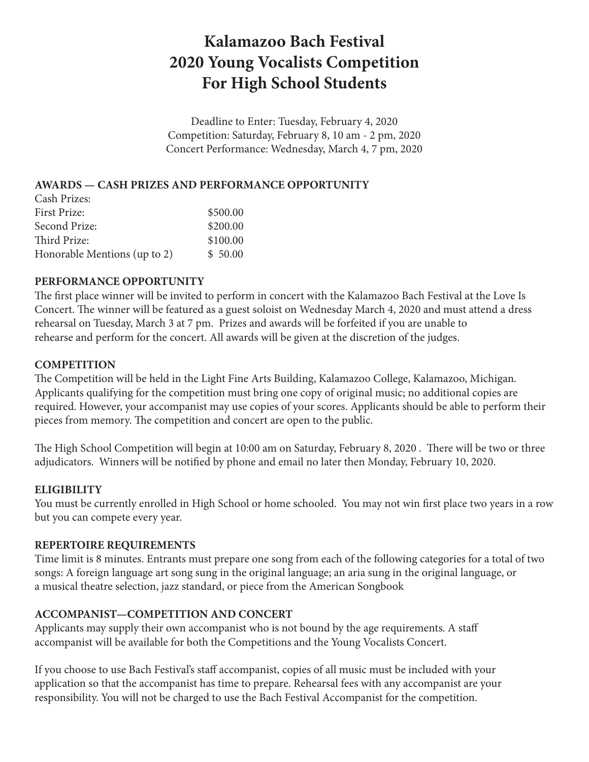# **Kalamazoo Bach Festival 2020 Young Vocalists Competition For High School Students**

Deadline to Enter: Tuesday, February 4, 2020 Competition: Saturday, February 8, 10 am - 2 pm, 2020 Concert Performance: Wednesday, March 4, 7 pm, 2020

# **AWARDS — CASH PRIZES AND PERFORMANCE OPPORTUNITY**

| Cash Prizes:                 |          |
|------------------------------|----------|
| First Prize:                 | \$500.00 |
| Second Prize:                | \$200.00 |
| Third Prize:                 | \$100.00 |
| Honorable Mentions (up to 2) | \$50.00  |

## **PERFORMANCE OPPORTUNITY**

The first place winner will be invited to perform in concert with the Kalamazoo Bach Festival at the Love Is Concert. The winner will be featured as a guest soloist on Wednesday March 4, 2020 and must attend a dress rehearsal on Tuesday, March 3 at 7 pm. Prizes and awards will be forfeited if you are unable to rehearse and perform for the concert. All awards will be given at the discretion of the judges.

#### **COMPETITION**

The Competition will be held in the Light Fine Arts Building, Kalamazoo College, Kalamazoo, Michigan. Applicants qualifying for the competition must bring one copy of original music; no additional copies are required. However, your accompanist may use copies of your scores. Applicants should be able to perform their pieces from memory. The competition and concert are open to the public.

The High School Competition will begin at 10:00 am on Saturday, February 8, 2020 . There will be two or three adjudicators. Winners will be notified by phone and email no later then Monday, February 10, 2020.

## **ELIGIBILITY**

You must be currently enrolled in High School or home schooled. You may not win first place two years in a row but you can compete every year.

## **REPERTOIRE REQUIREMENTS**

Time limit is 8 minutes. Entrants must prepare one song from each of the following categories for a total of two songs: A foreign language art song sung in the original language; an aria sung in the original language, or a musical theatre selection, jazz standard, or piece from the American Songbook

## **ACCOMPANIST—COMPETITION AND CONCERT**

Applicants may supply their own accompanist who is not bound by the age requirements. A staff accompanist will be available for both the Competitions and the Young Vocalists Concert.

If you choose to use Bach Festival's staff accompanist, copies of all music must be included with your application so that the accompanist has time to prepare. Rehearsal fees with any accompanist are your responsibility. You will not be charged to use the Bach Festival Accompanist for the competition.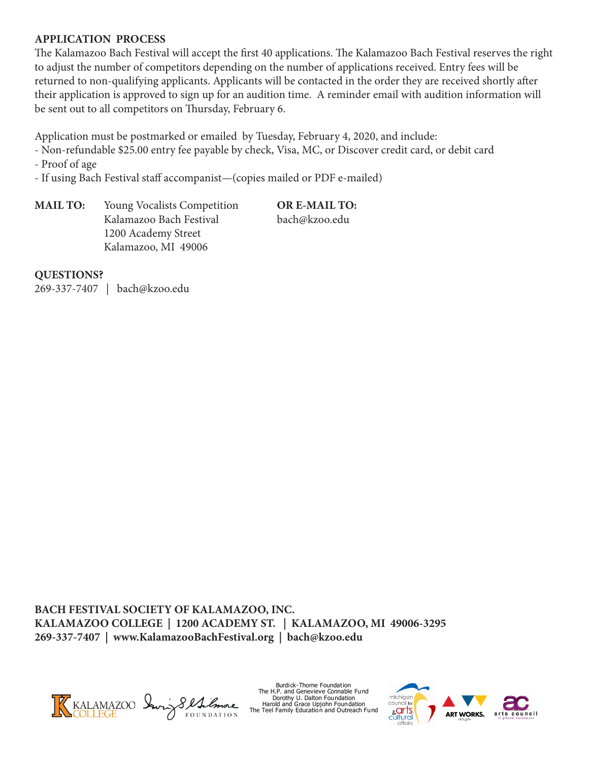#### **APPLICATION PROCESS**

The Kalamazoo Bach Festival will accept the first 40 applications. The Kalamazoo Bach Festival reserves the right to adjust the number of competitors depending on the number of applications received. Entry fees will be returned to non-qualifying applicants. Applicants will be contacted in the order they are received shortly after their application is approved to sign up for an audition time. A reminder email with audition information will be sent out to all competitors on Thursday, February 6.

Application must be postmarked or emailed by Tuesday, February 4, 2020, and include:

- Non-refundable \$25.00 entry fee payable by check, Visa, MC, or Discover credit card, or debit card

- Proof of age

- If using Bach Festival staff accompanist—(copies mailed or PDF e-mailed)

**MAIL TO:** Young Vocalists Competition **OR E-MAIL TO:**  Kalamazoo Bach Festival bach@kzoo.edu 1200 Academy Street Kalamazoo, MI 49006

#### **QUESTIONS?**

269-337-7407 | bach@kzoo.edu

**BACH FESTIVAL SOCIETY OF KALAMAZOO, INC. KALAMAZOO COLLEGE | 1200 ACADEMY ST. | KALAMAZOO, MI 49006-3295 269-337-7407 | www.KalamazooBachFestival.org | bach@kzoo.edu**



Burdick-Thorne Foundation The H.P. and Genevieve Connable Fund Dorothy U. Dalton Foundation Harold and Grace Upjohn Foundation The Teel Family Education and Outreach Fund